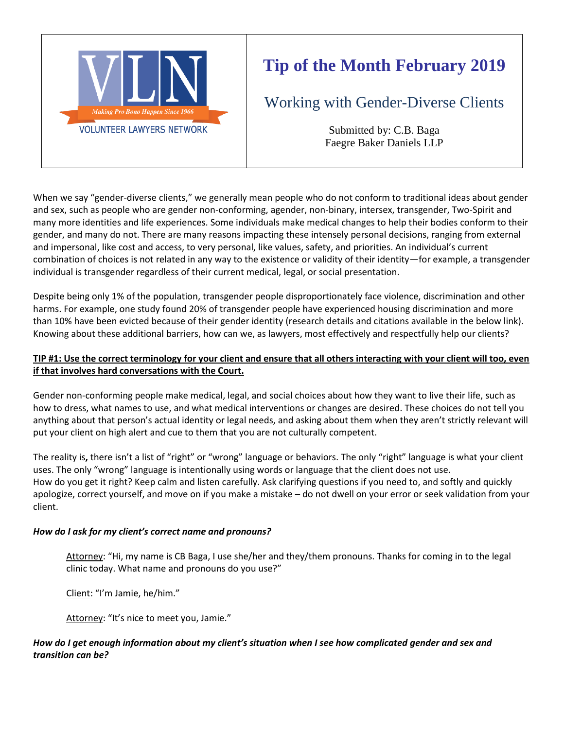

# **Tip of the Month February 2019**

Working with Gender-Diverse Clients

Submitted by: C.B. Baga Faegre Baker Daniels LLP

When we say "gender-diverse clients," we generally mean people who do not conform to traditional ideas about gender and sex, such as people who are gender non-conforming, agender, non-binary, intersex, transgender, Two-Spirit and many more identities and life experiences. Some individuals make medical changes to help their bodies conform to their gender, and many do not. There are many reasons impacting these intensely personal decisions, ranging from external and impersonal, like cost and access, to very personal, like values, safety, and priorities. An individual's current combination of choices is not related in any way to the existence or validity of their identity—for example, a transgender individual is transgender regardless of their current medical, legal, or social presentation.

Despite being only 1% of the population, transgender people disproportionately face violence, discrimination and other harms. For example, one study found 20% of transgender people have experienced housing discrimination and more than 10% have been evicted because of their gender identity (research details and citations available in the below link). Knowing about these additional barriers, how can we, as lawyers, most effectively and respectfully help our clients?

# **TIP #1: Use the correct terminology for your client and ensure that all others interacting with your client will too, even if that involves hard conversations with the Court.**

Gender non-conforming people make medical, legal, and social choices about how they want to live their life, such as how to dress, what names to use, and what medical interventions or changes are desired. These choices do not tell you anything about that person's actual identity or legal needs, and asking about them when they aren't strictly relevant will put your client on high alert and cue to them that you are not culturally competent.

The reality is**,** there isn't a list of "right" or "wrong" language or behaviors. The only "right" language is what your client uses. The only "wrong" language is intentionally using words or language that the client does not use. How do you get it right? Keep calm and listen carefully. Ask clarifying questions if you need to, and softly and quickly apologize, correct yourself, and move on if you make a mistake – do not dwell on your error or seek validation from your client.

# *How do I ask for my client's correct name and pronouns?*

Attorney: "Hi, my name is CB Baga, I use she/her and they/them pronouns. Thanks for coming in to the legal clinic today. What name and pronouns do you use?"

Client: "I'm Jamie, he/him."

Attorney: "It's nice to meet you, Jamie."

## *How do I get enough information about my client's situation when I see how complicated gender and sex and transition can be?*